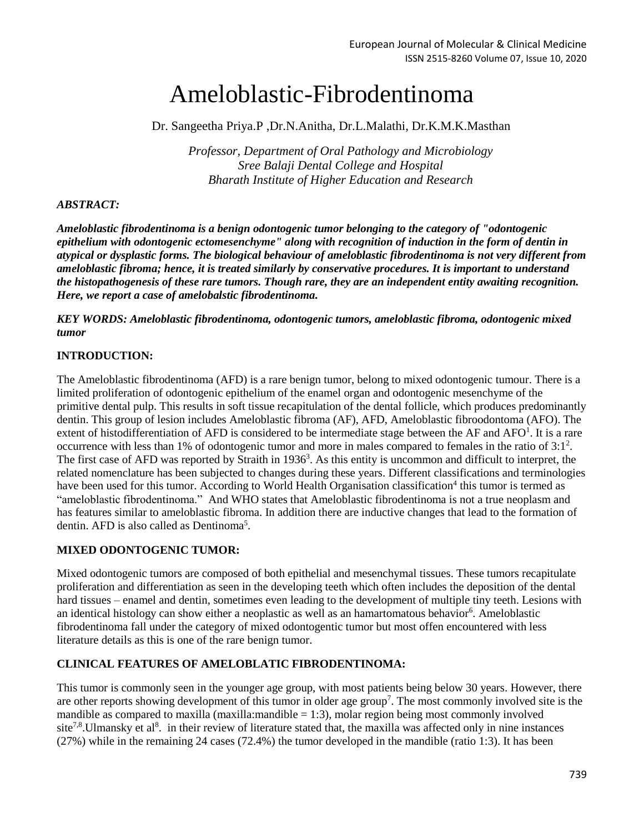# Ameloblastic-Fibrodentinoma

Dr. Sangeetha Priya.P ,Dr.N.Anitha, Dr.L.Malathi, Dr.K.M.K.Masthan

*Professor, Department of Oral Pathology and Microbiology Sree Balaji Dental College and Hospital Bharath Institute of Higher Education and Research*

### *ABSTRACT:*

*Ameloblastic fibrodentinoma is a benign odontogenic tumor belonging to the category of "odontogenic epithelium with odontogenic ectomesenchyme" along with recognition of induction in the form of dentin in atypical or dysplastic forms. The biological behaviour of ameloblastic fibrodentinoma is not very different from ameloblastic fibroma; hence, it is treated similarly by conservative procedures. It is important to understand the histopathogenesis of these rare tumors. Though rare, they are an independent entity awaiting recognition. Here, we report a case of amelobalstic fibrodentinoma.*

*KEY WORDS: Ameloblastic fibrodentinoma, odontogenic tumors, ameloblastic fibroma, odontogenic mixed tumor*

## **INTRODUCTION:**

The Ameloblastic fibrodentinoma (AFD) is a rare benign tumor, belong to mixed odontogenic tumour. There is a limited proliferation of odontogenic epithelium of the enamel organ and odontogenic mesenchyme of the primitive dental pulp. This results in soft tissue recapitulation of the dental follicle, which produces predominantly dentin. This group of lesion includes Ameloblastic fibroma (AF), AFD, Ameloblastic fibroodontoma (AFO). The extent of histodifferentiation of AFD is considered to be intermediate stage between the AF and AFO<sup>1</sup>. It is a rare occurrence with less than 1% of odontogenic tumor and more in males compared to females in the ratio of  $3:1^2$ . The first case of AFD was reported by Straith in 1936<sup>3</sup>. As this entity is uncommon and difficult to interpret, the related nomenclature has been subjected to changes during these years. Different classifications and terminologies have been used for this tumor. According to World Health Organisation classification<sup>4</sup> this tumor is termed as "ameloblastic fibrodentinoma." And WHO states that Ameloblastic fibrodentinoma is not a true neoplasm and has features similar to ameloblastic fibroma. In addition there are inductive changes that lead to the formation of dentin. AFD is also called as Dentinoma<sup>5</sup>.

## **MIXED ODONTOGENIC TUMOR:**

Mixed odontogenic tumors are composed of both epithelial and mesenchymal tissues. These tumors recapitulate proliferation and differentiation as seen in the developing teeth which often includes the deposition of the dental hard tissues – enamel and dentin, sometimes even leading to the development of multiple tiny teeth. Lesions with an identical histology can show either a neoplastic as well as an hamartomatous behavior<sup>6</sup>. Ameloblastic fibrodentinoma fall under the category of mixed odontogentic tumor but most offen encountered with less literature details as this is one of the rare benign tumor.

#### **CLINICAL FEATURES OF AMELOBLATIC FIBRODENTINOMA:**

This tumor is commonly seen in the younger age group, with most patients being below 30 years. However, there are other reports showing development of this tumor in older age group<sup>7</sup>. The most commonly involved site is the mandible as compared to maxilla (maxilla:mandible  $= 1:3$ ), molar region being most commonly involved site<sup>7,8</sup>. Ulmansky et al<sup>8</sup>. in their review of literature stated that, the maxilla was affected only in nine instances (27%) while in the remaining 24 cases (72.4%) the tumor developed in the mandible (ratio 1:3). It has been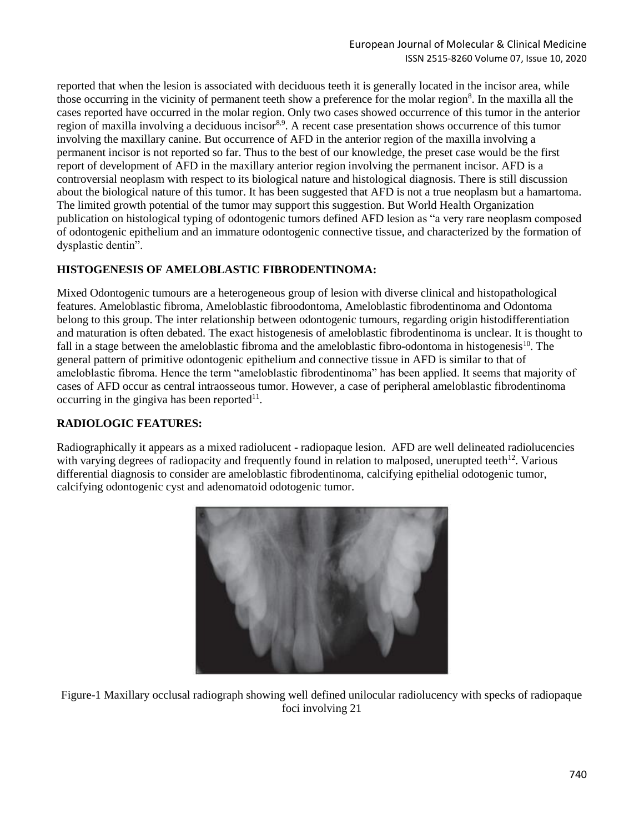reported that when the lesion is associated with deciduous teeth it is generally located in the incisor area, while those occurring in the vicinity of permanent teeth show a preference for the molar region<sup>8</sup>. In the maxilla all the cases reported have occurred in the molar region. Only two cases showed occurrence of this tumor in the anterior region of maxilla involving a deciduous incisor<sup>8,9</sup>. A recent case presentation shows occurrence of this tumor involving the maxillary canine. But occurrence of AFD in the anterior region of the maxilla involving a permanent incisor is not reported so far. Thus to the best of our knowledge, the preset case would be the first report of development of AFD in the maxillary anterior region involving the permanent incisor. AFD is a controversial neoplasm with respect to its biological nature and histological diagnosis. There is still discussion about the biological nature of this tumor. It has been suggested that AFD is not a true neoplasm but a hamartoma. The limited growth potential of the tumor may support this suggestion. But World Health Organization publication on histological typing of odontogenic tumors defined AFD lesion as "a very rare neoplasm composed of odontogenic epithelium and an immature odontogenic connective tissue, and characterized by the formation of dysplastic dentin".

# **HISTOGENESIS OF AMELOBLASTIC FIBRODENTINOMA:**

Mixed Odontogenic tumours are a heterogeneous group of lesion with diverse clinical and histopathological features. Ameloblastic fibroma, Ameloblastic fibroodontoma, Ameloblastic fibrodentinoma and Odontoma belong to this group. The inter relationship between odontogenic tumours, regarding origin histodifferentiation and maturation is often debated. The exact histogenesis of ameloblastic fibrodentinoma is unclear. It is thought to fall in a stage between the ameloblastic fibroma and the ameloblastic fibro-odontoma in histogenesis<sup>10</sup>. The general pattern of primitive odontogenic epithelium and connective tissue in AFD is similar to that of ameloblastic fibroma. Hence the term "ameloblastic fibrodentinoma" has been applied. It seems that majority of cases of AFD occur as central intraosseous tumor. However, a case of peripheral ameloblastic fibrodentinoma occurring in the gingiva has been reported $11$ .

# **RADIOLOGIC FEATURES:**

Radiographically it appears as a mixed radiolucent - radiopaque lesion. AFD are well delineated radiolucencies with varying degrees of radiopacity and frequently found in relation to malposed, unerupted teeth<sup>12</sup>. Various differential diagnosis to consider are ameloblastic fibrodentinoma, calcifying epithelial odotogenic tumor, calcifying odontogenic cyst and adenomatoid odotogenic tumor.



Figure-1 Maxillary occlusal radiograph showing well defined unilocular radiolucency with specks of radiopaque foci involving 21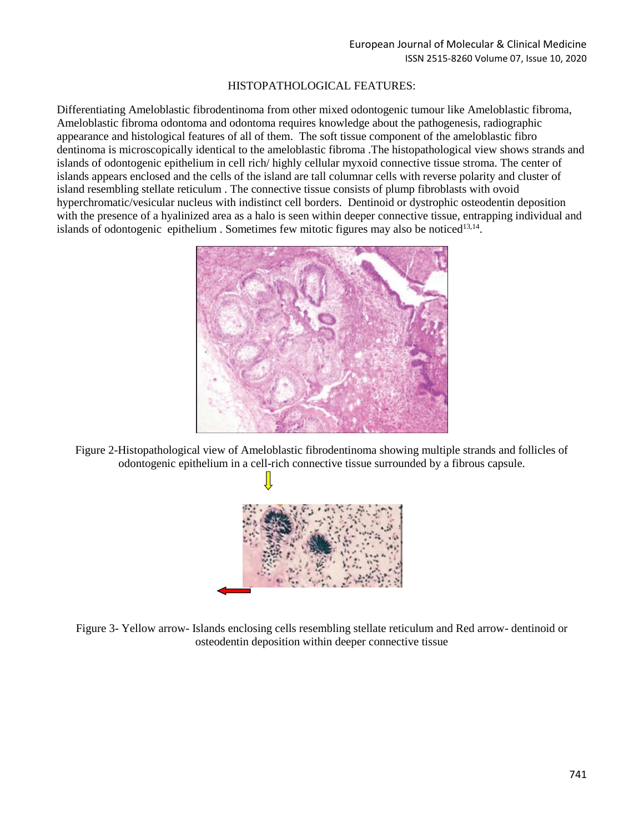#### HISTOPATHOLOGICAL FEATURES:

Differentiating Ameloblastic fibrodentinoma from other mixed odontogenic tumour like Ameloblastic fibroma, Ameloblastic fibroma odontoma and odontoma requires knowledge about the pathogenesis, radiographic appearance and histological features of all of them. The soft tissue component of the ameloblastic fibro dentinoma is microscopically identical to the ameloblastic fibroma .The histopathological view shows strands and islands of odontogenic epithelium in cell rich/ highly cellular myxoid connective tissue stroma. The center of islands appears enclosed and the cells of the island are tall columnar cells with reverse polarity and cluster of island resembling stellate reticulum . The connective tissue consists of plump fibroblasts with ovoid hyperchromatic/vesicular nucleus with indistinct cell borders. Dentinoid or dystrophic osteodentin deposition with the presence of a hyalinized area as a halo is seen within deeper connective tissue, entrapping individual and islands of odontogenic epithelium. Sometimes few mitotic figures may also be noticed<sup>13,14</sup>.



Figure 2-Histopathological view of Ameloblastic fibrodentinoma showing multiple strands and follicles of odontogenic epithelium in a cell-rich connective tissue surrounded by a fibrous capsule.



Figure 3- Yellow arrow- Islands enclosing cells resembling stellate reticulum and Red arrow- dentinoid or osteodentin deposition within deeper connective tissue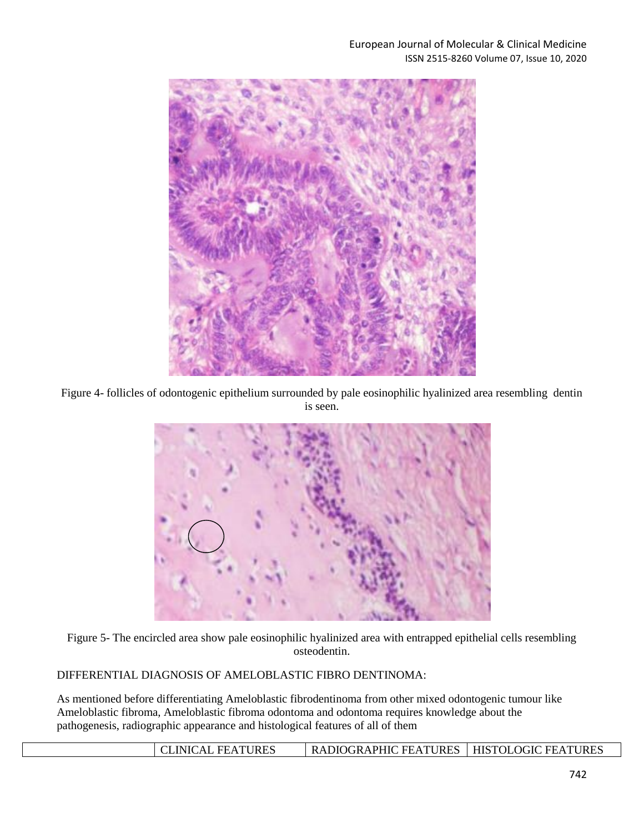

Figure 4- follicles of odontogenic epithelium surrounded by pale eosinophilic hyalinized area resembling dentin is seen.



Figure 5- The encircled area show pale eosinophilic hyalinized area with entrapped epithelial cells resembling osteodentin.

DIFFERENTIAL DIAGNOSIS OF AMELOBLASTIC FIBRO DENTINOMA:

As mentioned before differentiating Ameloblastic fibrodentinoma from other mixed odontogenic tumour like Ameloblastic fibroma, Ameloblastic fibroma odontoma and odontoma requires knowledge about the pathogenesis, radiographic appearance and histological features of all of them

| <b>CLINICAL FEATURES</b> | RADIOGRAPHIC FEATURES   HISTOLOGIC FEATURES |  |
|--------------------------|---------------------------------------------|--|
|                          |                                             |  |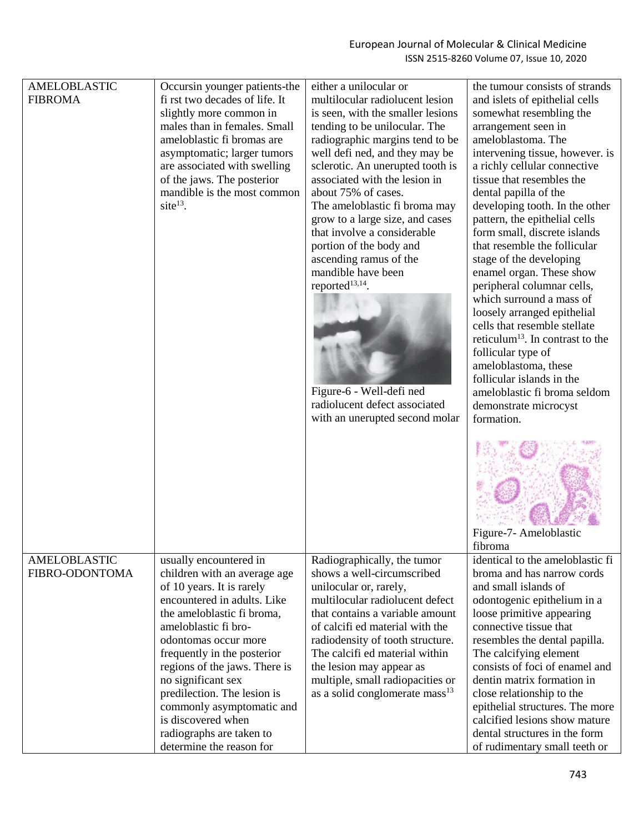| <b>AMELOBLASTIC</b><br><b>FIBROMA</b> | Occursin younger patients-the<br>fi rst two decades of life. It<br>slightly more common in<br>males than in females. Small<br>ameloblastic fi bromas are<br>asymptomatic; larger tumors<br>are associated with swelling<br>of the jaws. The posterior<br>mandible is the most common<br>site $^{13}$ .        | either a unilocular or<br>multilocular radiolucent lesion<br>is seen, with the smaller lesions<br>tending to be unilocular. The<br>radiographic margins tend to be<br>well defi ned, and they may be<br>sclerotic. An unerupted tooth is<br>associated with the lesion in<br>about 75% of cases.<br>The ameloblastic fi broma may<br>grow to a large size, and cases<br>that involve a considerable<br>portion of the body and<br>ascending ramus of the<br>mandible have been<br>reported <sup>13,14</sup> .<br>Figure-6 - Well-defi ned<br>radiolucent defect associated<br>with an unerupted second molar | the tumour consists of strands<br>and islets of epithelial cells<br>somewhat resembling the<br>arrangement seen in<br>ameloblastoma. The<br>intervening tissue, however. is<br>a richly cellular connective<br>tissue that resembles the<br>dental papilla of the<br>developing tooth. In the other<br>pattern, the epithelial cells<br>form small, discrete islands<br>that resemble the follicular<br>stage of the developing<br>enamel organ. These show<br>peripheral columnar cells,<br>which surround a mass of<br>loosely arranged epithelial<br>cells that resemble stellate<br>reticulum <sup>13</sup> . In contrast to the<br>follicular type of<br>ameloblastoma, these<br>follicular islands in the<br>ameloblastic fi broma seldom<br>demonstrate microcyst<br>formation. |
|---------------------------------------|---------------------------------------------------------------------------------------------------------------------------------------------------------------------------------------------------------------------------------------------------------------------------------------------------------------|--------------------------------------------------------------------------------------------------------------------------------------------------------------------------------------------------------------------------------------------------------------------------------------------------------------------------------------------------------------------------------------------------------------------------------------------------------------------------------------------------------------------------------------------------------------------------------------------------------------|----------------------------------------------------------------------------------------------------------------------------------------------------------------------------------------------------------------------------------------------------------------------------------------------------------------------------------------------------------------------------------------------------------------------------------------------------------------------------------------------------------------------------------------------------------------------------------------------------------------------------------------------------------------------------------------------------------------------------------------------------------------------------------------|
|                                       |                                                                                                                                                                                                                                                                                                               |                                                                                                                                                                                                                                                                                                                                                                                                                                                                                                                                                                                                              | Figure-7- Ameloblastic                                                                                                                                                                                                                                                                                                                                                                                                                                                                                                                                                                                                                                                                                                                                                                 |
| <b>AMELOBLASTIC</b><br>FIBRO-ODONTOMA | usually encountered in<br>children with an average age<br>of 10 years. It is rarely                                                                                                                                                                                                                           | Radiographically, the tumor<br>shows a well-circumscribed<br>unilocular or, rarely,                                                                                                                                                                                                                                                                                                                                                                                                                                                                                                                          | fibroma<br>identical to the ameloblastic fi<br>broma and has narrow cords<br>and small islands of                                                                                                                                                                                                                                                                                                                                                                                                                                                                                                                                                                                                                                                                                      |
|                                       | encountered in adults. Like<br>the ameloblastic fi broma,<br>ameloblastic fi bro-<br>odontomas occur more<br>frequently in the posterior<br>regions of the jaws. There is<br>no significant sex<br>predilection. The lesion is<br>commonly asymptomatic and<br>is discovered when<br>radiographs are taken to | multilocular radiolucent defect<br>that contains a variable amount<br>of calcifi ed material with the<br>radiodensity of tooth structure.<br>The calcifi ed material within<br>the lesion may appear as<br>multiple, small radiopacities or<br>as a solid conglomerate mass <sup>13</sup>                                                                                                                                                                                                                                                                                                                    | odontogenic epithelium in a<br>loose primitive appearing<br>connective tissue that<br>resembles the dental papilla.<br>The calcifying element<br>consists of foci of enamel and<br>dentin matrix formation in<br>close relationship to the<br>epithelial structures. The more<br>calcified lesions show mature<br>dental structures in the form                                                                                                                                                                                                                                                                                                                                                                                                                                        |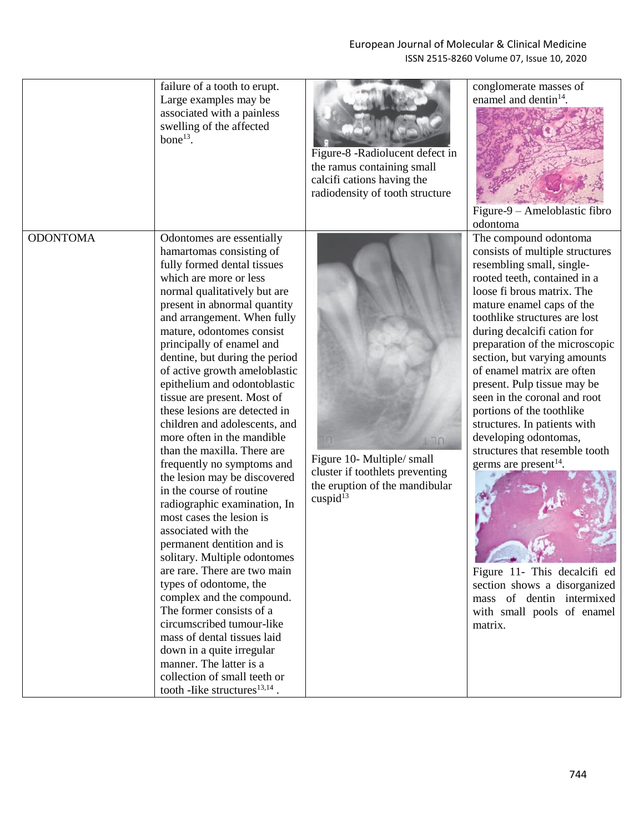## European Journal of Molecular & Clinical Medicine ISSN 2515-8260 Volume 07, Issue 10, 2020